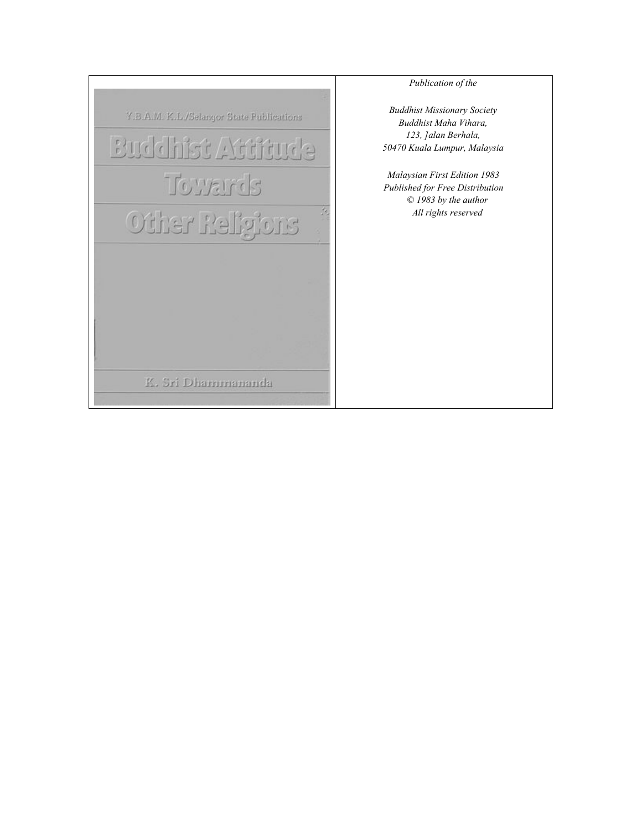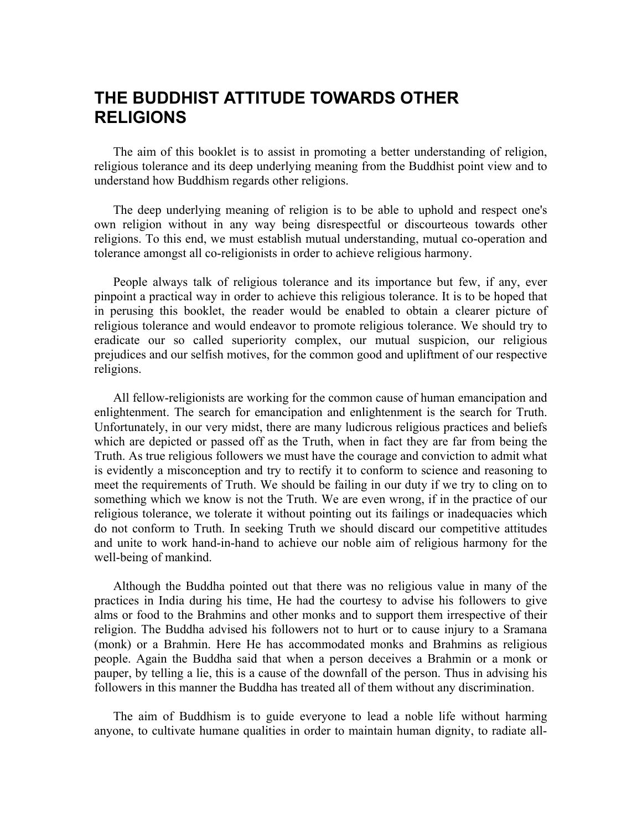## **THE BUDDHIST ATTITUDE TOWARDS OTHER RELIGIONS**

The aim of this booklet is to assist in promoting a better understanding of religion, religious tolerance and its deep underlying meaning from the Buddhist point view and to understand how Buddhism regards other religions.

The deep underlying meaning of religion is to be able to uphold and respect one's own religion without in any way being disrespectful or discourteous towards other religions. To this end, we must establish mutual understanding, mutual co-operation and tolerance amongst all co-religionists in order to achieve religious harmony.

People always talk of religious tolerance and its importance but few, if any, ever pinpoint a practical way in order to achieve this religious tolerance. It is to be hoped that in perusing this booklet, the reader would be enabled to obtain a clearer picture of religious tolerance and would endeavor to promote religious tolerance. We should try to eradicate our so called superiority complex, our mutual suspicion, our religious prejudices and our selfish motives, for the common good and upliftment of our respective religions.

All fellow-religionists are working for the common cause of human emancipation and enlightenment. The search for emancipation and enlightenment is the search for Truth. Unfortunately, in our very midst, there are many ludicrous religious practices and beliefs which are depicted or passed off as the Truth, when in fact they are far from being the Truth. As true religious followers we must have the courage and conviction to admit what is evidently a misconception and try to rectify it to conform to science and reasoning to meet the requirements of Truth. We should be failing in our duty if we try to cling on to something which we know is not the Truth. We are even wrong, if in the practice of our religious tolerance, we tolerate it without pointing out its failings or inadequacies which do not conform to Truth. In seeking Truth we should discard our competitive attitudes and unite to work hand-in-hand to achieve our noble aim of religious harmony for the well-being of mankind.

Although the Buddha pointed out that there was no religious value in many of the practices in India during his time, He had the courtesy to advise his followers to give alms or food to the Brahmins and other monks and to support them irrespective of their religion. The Buddha advised his followers not to hurt or to cause injury to a Sramana (monk) or a Brahmin. Here He has accommodated monks and Brahmins as religious people. Again the Buddha said that when a person deceives a Brahmin or a monk or pauper, by telling a lie, this is a cause of the downfall of the person. Thus in advising his followers in this manner the Buddha has treated all of them without any discrimination.

The aim of Buddhism is to guide everyone to lead a noble life without harming anyone, to cultivate humane qualities in order to maintain human dignity, to radiate all-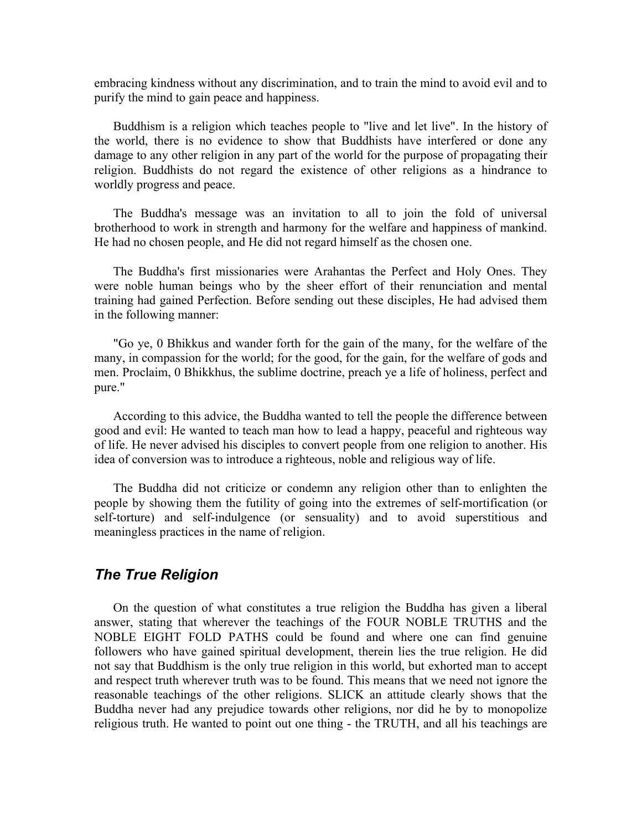embracing kindness without any discrimination, and to train the mind to avoid evil and to purify the mind to gain peace and happiness.

Buddhism is a religion which teaches people to "live and let live". In the history of the world, there is no evidence to show that Buddhists have interfered or done any damage to any other religion in any part of the world for the purpose of propagating their religion. Buddhists do not regard the existence of other religions as a hindrance to worldly progress and peace.

The Buddha's message was an invitation to all to join the fold of universal brotherhood to work in strength and harmony for the welfare and happiness of mankind. He had no chosen people, and He did not regard himself as the chosen one.

The Buddha's first missionaries were Arahantas the Perfect and Holy Ones. They were noble human beings who by the sheer effort of their renunciation and mental training had gained Perfection. Before sending out these disciples, He had advised them in the following manner:

"Go ye, 0 Bhikkus and wander forth for the gain of the many, for the welfare of the many, in compassion for the world; for the good, for the gain, for the welfare of gods and men. Proclaim, 0 Bhikkhus, the sublime doctrine, preach ye a life of holiness, perfect and pure."

According to this advice, the Buddha wanted to tell the people the difference between good and evil: He wanted to teach man how to lead a happy, peaceful and righteous way of life. He never advised his disciples to convert people from one religion to another. His idea of conversion was to introduce a righteous, noble and religious way of life.

The Buddha did not criticize or condemn any religion other than to enlighten the people by showing them the futility of going into the extremes of self-mortification (or self-torture) and self-indulgence (or sensuality) and to avoid superstitious and meaningless practices in the name of religion.

## *The True Religion*

On the question of what constitutes a true religion the Buddha has given a liberal answer, stating that wherever the teachings of the FOUR NOBLE TRUTHS and the NOBLE EIGHT FOLD PATHS could be found and where one can find genuine followers who have gained spiritual development, therein lies the true religion. He did not say that Buddhism is the only true religion in this world, but exhorted man to accept and respect truth wherever truth was to be found. This means that we need not ignore the reasonable teachings of the other religions. SLICK an attitude clearly shows that the Buddha never had any prejudice towards other religions, nor did he by to monopolize religious truth. He wanted to point out one thing - the TRUTH, and all his teachings are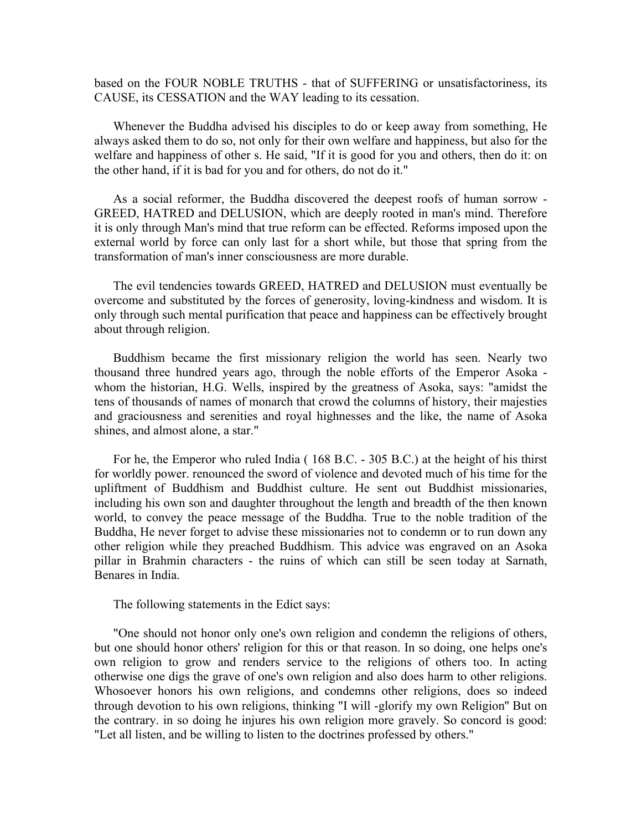based on the FOUR NOBLE TRUTHS - that of SUFFERING or unsatisfactoriness, its CAUSE, its CESSATION and the WAY leading to its cessation.

Whenever the Buddha advised his disciples to do or keep away from something, He always asked them to do so, not only for their own welfare and happiness, but also for the welfare and happiness of other s. He said, "If it is good for you and others, then do it: on the other hand, if it is bad for you and for others, do not do it."

As a social reformer, the Buddha discovered the deepest roofs of human sorrow - GREED, HATRED and DELUSION, which are deeply rooted in man's mind. Therefore it is only through Man's mind that true reform can be effected. Reforms imposed upon the external world by force can only last for a short while, but those that spring from the transformation of man's inner consciousness are more durable.

The evil tendencies towards GREED, HATRED and DELUSION must eventually be overcome and substituted by the forces of generosity, loving-kindness and wisdom. It is only through such mental purification that peace and happiness can be effectively brought about through religion.

Buddhism became the first missionary religion the world has seen. Nearly two thousand three hundred years ago, through the noble efforts of the Emperor Asoka whom the historian, H.G. Wells, inspired by the greatness of Asoka, says: "amidst the tens of thousands of names of monarch that crowd the columns of history, their majesties and graciousness and serenities and royal highnesses and the like, the name of Asoka shines, and almost alone, a star."

For he, the Emperor who ruled India ( 168 B.C. - 305 B.C.) at the height of his thirst for worldly power. renounced the sword of violence and devoted much of his time for the upliftment of Buddhism and Buddhist culture. He sent out Buddhist missionaries, including his own son and daughter throughout the length and breadth of the then known world, to convey the peace message of the Buddha. True to the noble tradition of the Buddha, He never forget to advise these missionaries not to condemn or to run down any other religion while they preached Buddhism. This advice was engraved on an Asoka pillar in Brahmin characters - the ruins of which can still be seen today at Sarnath, Benares in India.

The following statements in the Edict says:

"One should not honor only one's own religion and condemn the religions of others, but one should honor others' religion for this or that reason. In so doing, one helps one's own religion to grow and renders service to the religions of others too. In acting otherwise one digs the grave of one's own religion and also does harm to other religions. Whosoever honors his own religions, and condemns other religions, does so indeed through devotion to his own religions, thinking "I will -glorify my own Religion'' But on the contrary. in so doing he injures his own religion more gravely. So concord is good: "Let all listen, and be willing to listen to the doctrines professed by others."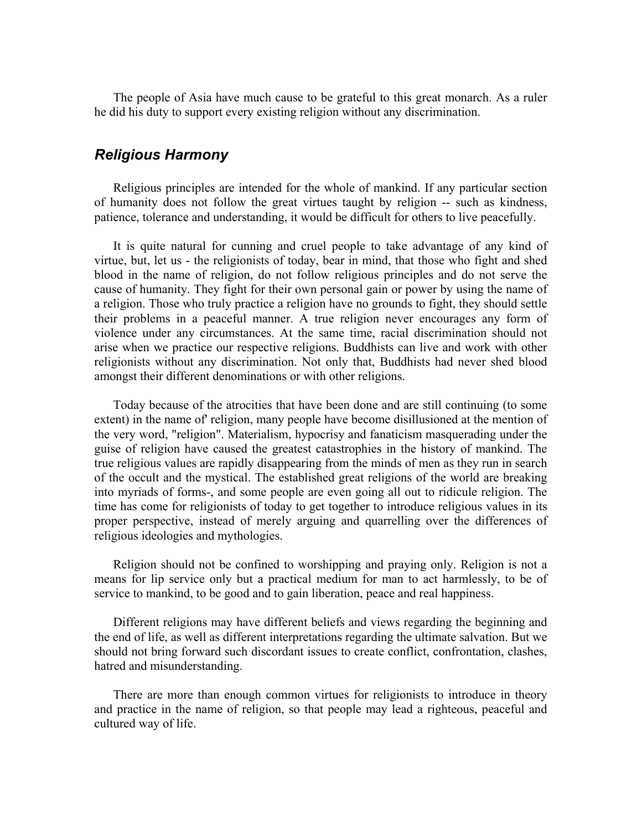The people of Asia have much cause to be grateful to this great monarch. As a ruler he did his duty to support every existing religion without any discrimination.

## *Religious Harmony*

Religious principles are intended for the whole of mankind. If any particular section of humanity does not follow the great virtues taught by religion -- such as kindness, patience, tolerance and understanding, it would be difficult for others to live peacefully.

It is quite natural for cunning and cruel people to take advantage of any kind of virtue, but, let us - the religionists of today, bear in mind, that those who fight and shed blood in the name of religion, do not follow religious principles and do not serve the cause of humanity. They fight for their own personal gain or power by using the name of a religion. Those who truly practice a religion have no grounds to fight, they should settle their problems in a peaceful manner. A true religion never encourages any form of violence under any circumstances. At the same time, racial discrimination should not arise when we practice our respective religions. Buddhists can live and work with other religionists without any discrimination. Not only that, Buddhists had never shed blood amongst their different denominations or with other religions.

Today because of the atrocities that have been done and are still continuing (to some extent) in the name of' religion, many people have become disillusioned at the mention of the very word, "religion". Materialism, hypocrisy and fanaticism masquerading under the guise of religion have caused the greatest catastrophies in the history of mankind. The true religious values are rapidly disappearing from the minds of men as they run in search of the occult and the mystical. The established great religions of the world are breaking into myriads of forms-, and some people are even going all out to ridicule religion. The time has come for religionists of today to get together to introduce religious values in its proper perspective, instead of merely arguing and quarrelling over the differences of religious ideologies and mythologies.

Religion should not be confined to worshipping and praying only. Religion is not a means for lip service only but a practical medium for man to act harmlessly, to be of service to mankind, to be good and to gain liberation, peace and real happiness.

Different religions may have different beliefs and views regarding the beginning and the end of life, as well as different interpretations regarding the ultimate salvation. But we should not bring forward such discordant issues to create conflict, confrontation, clashes, hatred and misunderstanding.

There are more than enough common virtues for religionists to introduce in theory and practice in the name of religion, so that people may lead a righteous, peaceful and cultured way of life.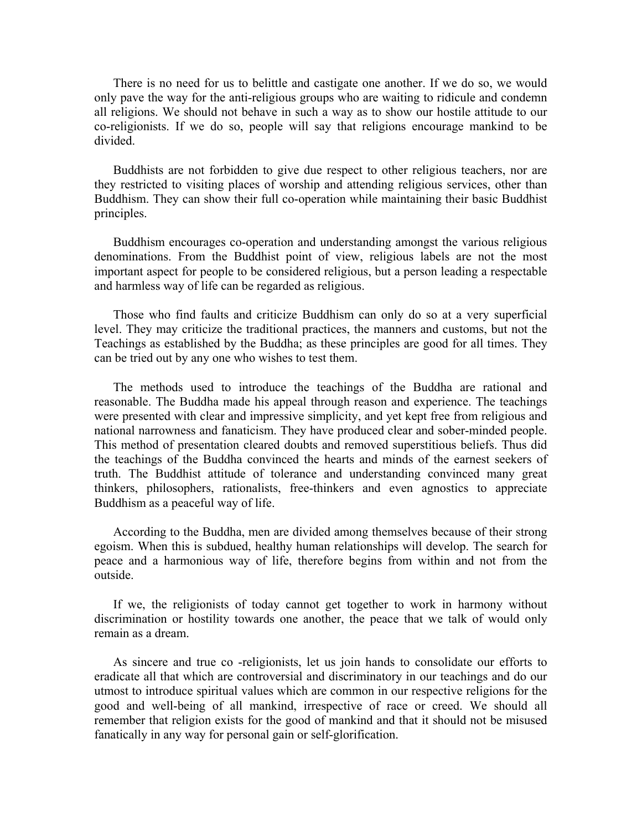There is no need for us to belittle and castigate one another. If we do so, we would only pave the way for the anti-religious groups who are waiting to ridicule and condemn all religions. We should not behave in such a way as to show our hostile attitude to our co-religionists. If we do so, people will say that religions encourage mankind to be divided.

Buddhists are not forbidden to give due respect to other religious teachers, nor are they restricted to visiting places of worship and attending religious services, other than Buddhism. They can show their full co-operation while maintaining their basic Buddhist principles.

Buddhism encourages co-operation and understanding amongst the various religious denominations. From the Buddhist point of view, religious labels are not the most important aspect for people to be considered religious, but a person leading a respectable and harmless way of life can be regarded as religious.

Those who find faults and criticize Buddhism can only do so at a very superficial level. They may criticize the traditional practices, the manners and customs, but not the Teachings as established by the Buddha; as these principles are good for all times. They can be tried out by any one who wishes to test them.

The methods used to introduce the teachings of the Buddha are rational and reasonable. The Buddha made his appeal through reason and experience. The teachings were presented with clear and impressive simplicity, and yet kept free from religious and national narrowness and fanaticism. They have produced clear and sober-minded people. This method of presentation cleared doubts and removed superstitious beliefs. Thus did the teachings of the Buddha convinced the hearts and minds of the earnest seekers of truth. The Buddhist attitude of tolerance and understanding convinced many great thinkers, philosophers, rationalists, free-thinkers and even agnostics to appreciate Buddhism as a peaceful way of life.

According to the Buddha, men are divided among themselves because of their strong egoism. When this is subdued, healthy human relationships will develop. The search for peace and a harmonious way of life, therefore begins from within and not from the outside.

If we, the religionists of today cannot get together to work in harmony without discrimination or hostility towards one another, the peace that we talk of would only remain as a dream.

As sincere and true co -religionists, let us join hands to consolidate our efforts to eradicate all that which are controversial and discriminatory in our teachings and do our utmost to introduce spiritual values which are common in our respective religions for the good and well-being of all mankind, irrespective of race or creed. We should all remember that religion exists for the good of mankind and that it should not be misused fanatically in any way for personal gain or self-glorification.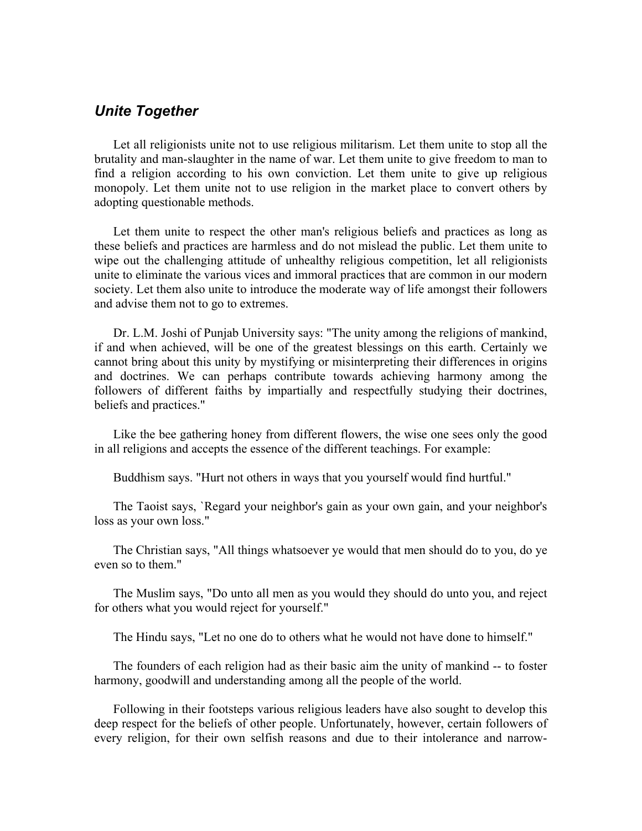## *Unite Together*

Let all religionists unite not to use religious militarism. Let them unite to stop all the brutality and man-slaughter in the name of war. Let them unite to give freedom to man to find a religion according to his own conviction. Let them unite to give up religious monopoly. Let them unite not to use religion in the market place to convert others by adopting questionable methods.

Let them unite to respect the other man's religious beliefs and practices as long as these beliefs and practices are harmless and do not mislead the public. Let them unite to wipe out the challenging attitude of unhealthy religious competition, let all religionists unite to eliminate the various vices and immoral practices that are common in our modern society. Let them also unite to introduce the moderate way of life amongst their followers and advise them not to go to extremes.

Dr. L.M. Joshi of Punjab University says: "The unity among the religions of mankind, if and when achieved, will be one of the greatest blessings on this earth. Certainly we cannot bring about this unity by mystifying or misinterpreting their differences in origins and doctrines. We can perhaps contribute towards achieving harmony among the followers of different faiths by impartially and respectfully studying their doctrines, beliefs and practices."

Like the bee gathering honey from different flowers, the wise one sees only the good in all religions and accepts the essence of the different teachings. For example:

Buddhism says. "Hurt not others in ways that you yourself would find hurtful."

The Taoist says, `Regard your neighbor's gain as your own gain, and your neighbor's loss as your own loss."

The Christian says, "All things whatsoever ye would that men should do to you, do ye even so to them."

The Muslim says, "Do unto all men as you would they should do unto you, and reject for others what you would reject for yourself."

The Hindu says, "Let no one do to others what he would not have done to himself."

The founders of each religion had as their basic aim the unity of mankind -- to foster harmony, goodwill and understanding among all the people of the world.

Following in their footsteps various religious leaders have also sought to develop this deep respect for the beliefs of other people. Unfortunately, however, certain followers of every religion, for their own selfish reasons and due to their intolerance and narrow